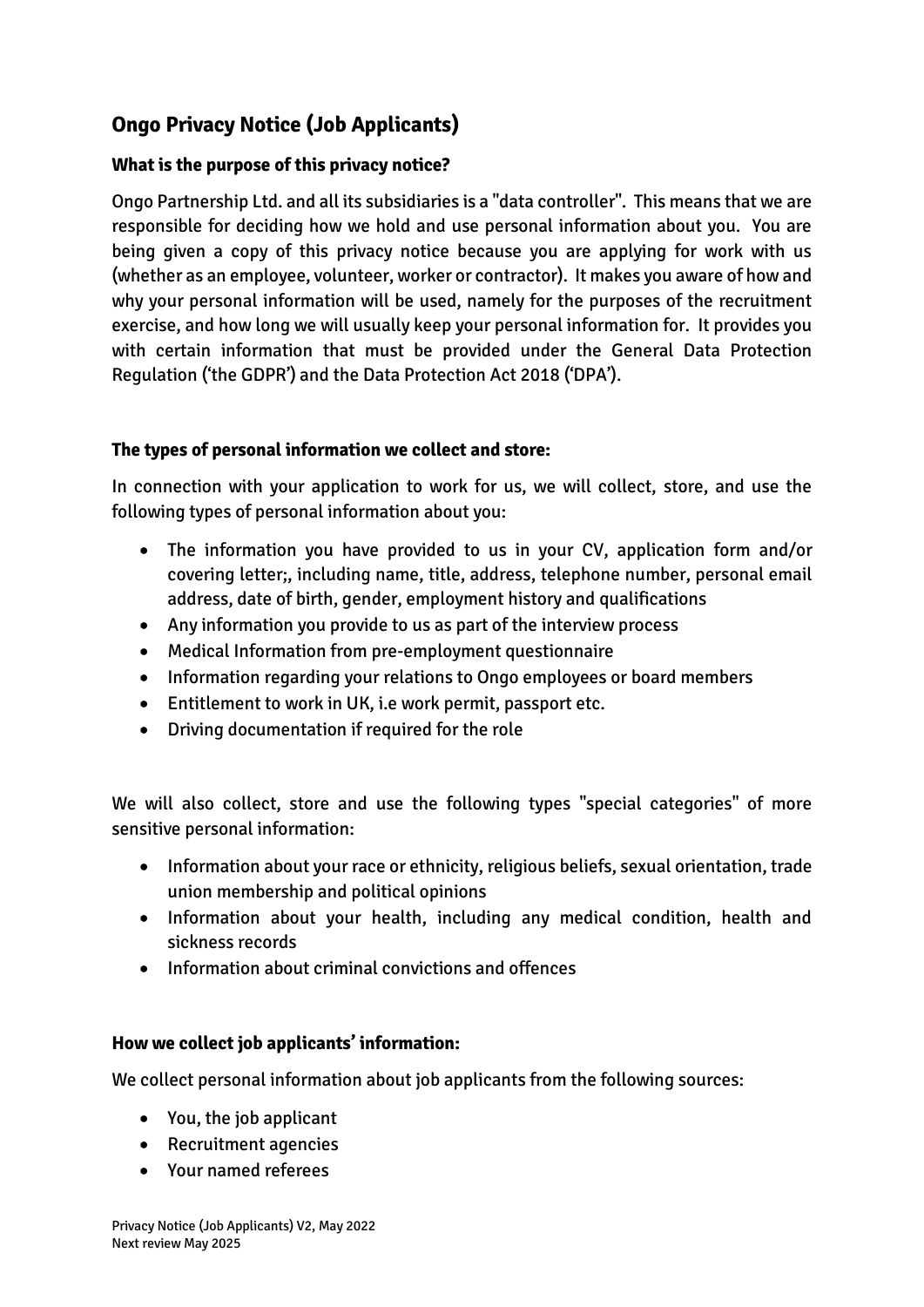# **Ongo Privacy Notice (Job Applicants)**

## **What is the purpose of this privacy notice?**

Ongo Partnership Ltd. and all its subsidiaries is a "data controller". This means that we are responsible for deciding how we hold and use personal information about you. You are being given a copy of this privacy notice because you are applying for work with us (whether as an employee, volunteer, worker or contractor). It makes you aware of how and why your personal information will be used, namely for the purposes of the recruitment exercise, and how long we will usually keep your personal information for. It provides you with certain information that must be provided under the General Data Protection Regulation ('the GDPR') and the Data Protection Act 2018 ('DPA').

## **The types of personal information we collect and store:**

In connection with your application to work for us, we will collect, store, and use the following types of personal information about you:

- The information you have provided to us in your CV, application form and/or covering letter;, including name, title, address, telephone number, personal email address, date of birth, gender, employment history and qualifications
- Any information you provide to us as part of the interview process
- Medical Information from pre-employment questionnaire
- Information regarding your relations to Ongo employees or board members
- Entitlement to work in UK, i.e work permit, passport etc.
- Driving documentation if required for the role

We will also collect, store and use the following types "special categories" of more sensitive personal information:

- Information about your race or ethnicity, religious beliefs, sexual orientation, trade union membership and political opinions
- Information about your health, including any medical condition, health and sickness records
- Information about criminal convictions and offences

#### **How we collect job applicants' information:**

We collect personal information about job applicants from the following sources:

- You, the job applicant
- Recruitment agencies
- Your named referees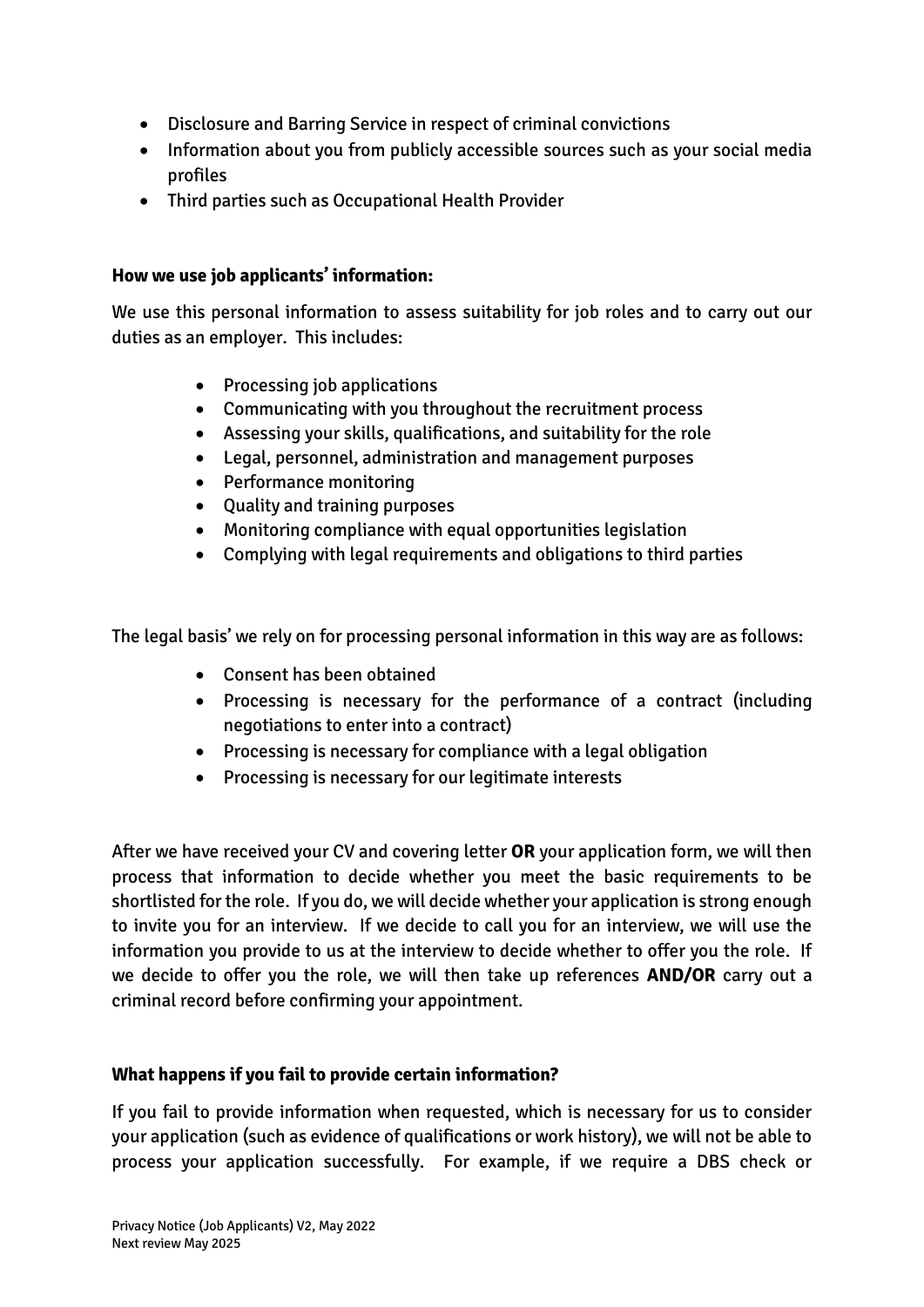- Disclosure and Barring Service in respect of criminal convictions
- Information about you from publicly accessible sources such as your social media profiles
- Third parties such as Occupational Health Provider

#### **How we use job applicants' information:**

We use this personal information to assess suitability for job roles and to carry out our duties as an employer. This includes:

- Processing job applications
- Communicating with you throughout the recruitment process
- Assessing your skills, qualifications, and suitability for the role
- Legal, personnel, administration and management purposes
- Performance monitoring
- Quality and training purposes
- Monitoring compliance with equal opportunities legislation
- Complying with legal requirements and obligations to third parties

The legal basis' we rely on for processing personal information in this way are as follows:

- Consent has been obtained
- Processing is necessary for the performance of a contract (including negotiations to enter into a contract)
- Processing is necessary for compliance with a legal obligation
- Processing is necessary for our legitimate interests

After we have received your CV and covering letter **OR** your application form, we will then process that information to decide whether you meet the basic requirements to be shortlisted for the role. If you do, we will decide whether your application is strong enough to invite you for an interview. If we decide to call you for an interview, we will use the information you provide to us at the interview to decide whether to offer you the role. If we decide to offer you the role, we will then take up references **AND/OR** carry out a criminal record before confirming your appointment.

## **What happens if you fail to provide certain information?**

If you fail to provide information when requested, which is necessary for us to consider your application (such as evidence of qualifications or work history), we will not be able to process your application successfully. For example, if we require a DBS check or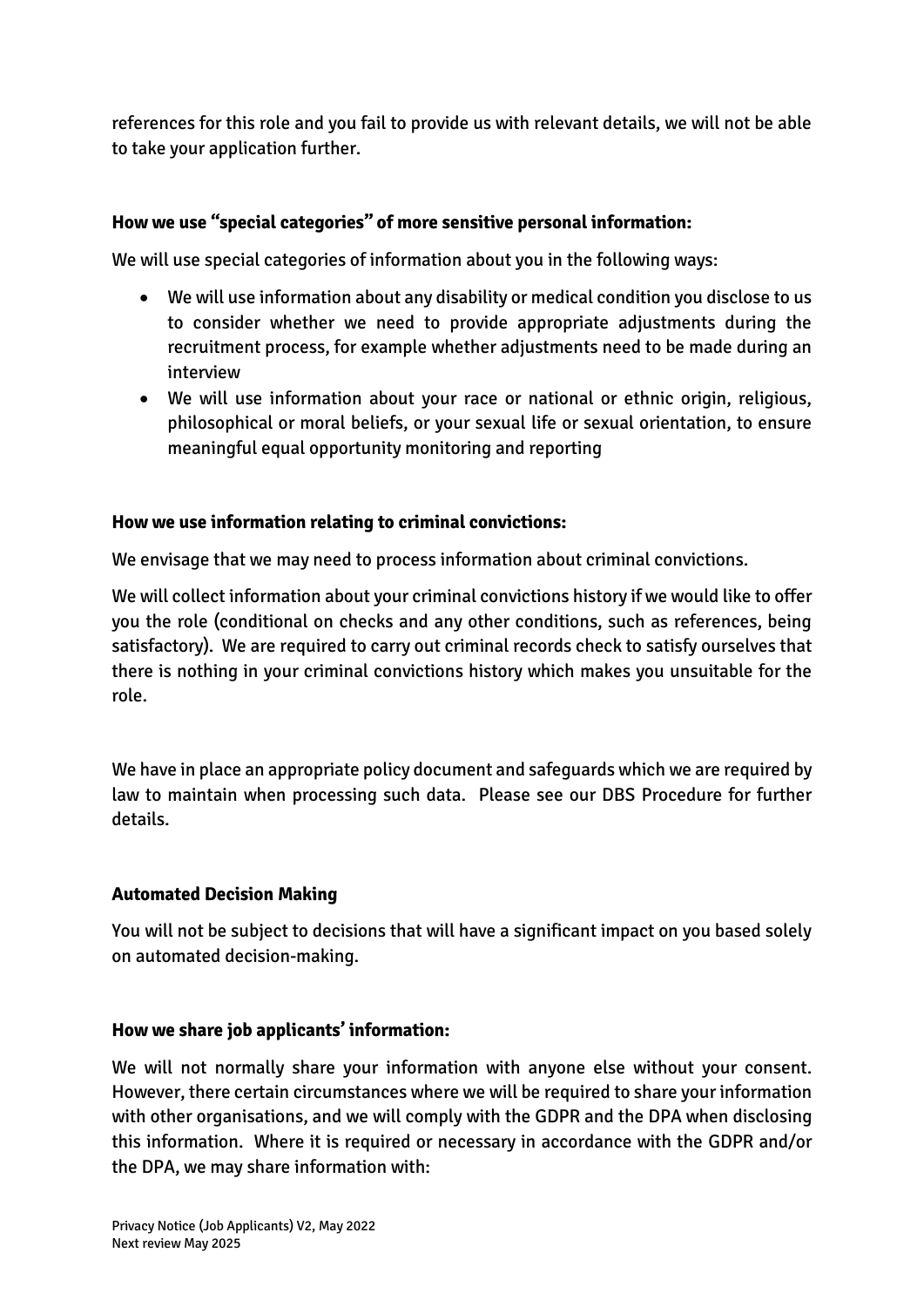references for this role and you fail to provide us with relevant details, we will not be able to take your application further.

## **How we use "special categories" of more sensitive personal information:**

We will use special categories of information about you in the following ways:

- We will use information about any disability or medical condition you disclose to us to consider whether we need to provide appropriate adjustments during the recruitment process, for example whether adjustments need to be made during an interview
- We will use information about your race or national or ethnic origin, religious, philosophical or moral beliefs, or your sexual life or sexual orientation, to ensure meaningful equal opportunity monitoring and reporting

#### **How we use information relating to criminal convictions:**

We envisage that we may need to process information about criminal convictions.

We will collect information about your criminal convictions history if we would like to offer you the role (conditional on checks and any other conditions, such as references, being satisfactory). We are required to carry out criminal records check to satisfy ourselves that there is nothing in your criminal convictions history which makes you unsuitable for the role.

We have in place an appropriate policy document and safeguards which we are required by law to maintain when processing such data. Please see our DBS Procedure for further details.

#### **Automated Decision Making**

You will not be subject to decisions that will have a significant impact on you based solely on automated decision-making.

#### **How we share job applicants' information:**

We will not normally share your information with anyone else without your consent. However, there certain circumstances where we will be required to share your information with other organisations, and we will comply with the GDPR and the DPA when disclosing this information. Where it is required or necessary in accordance with the GDPR and/or the DPA, we may share information with: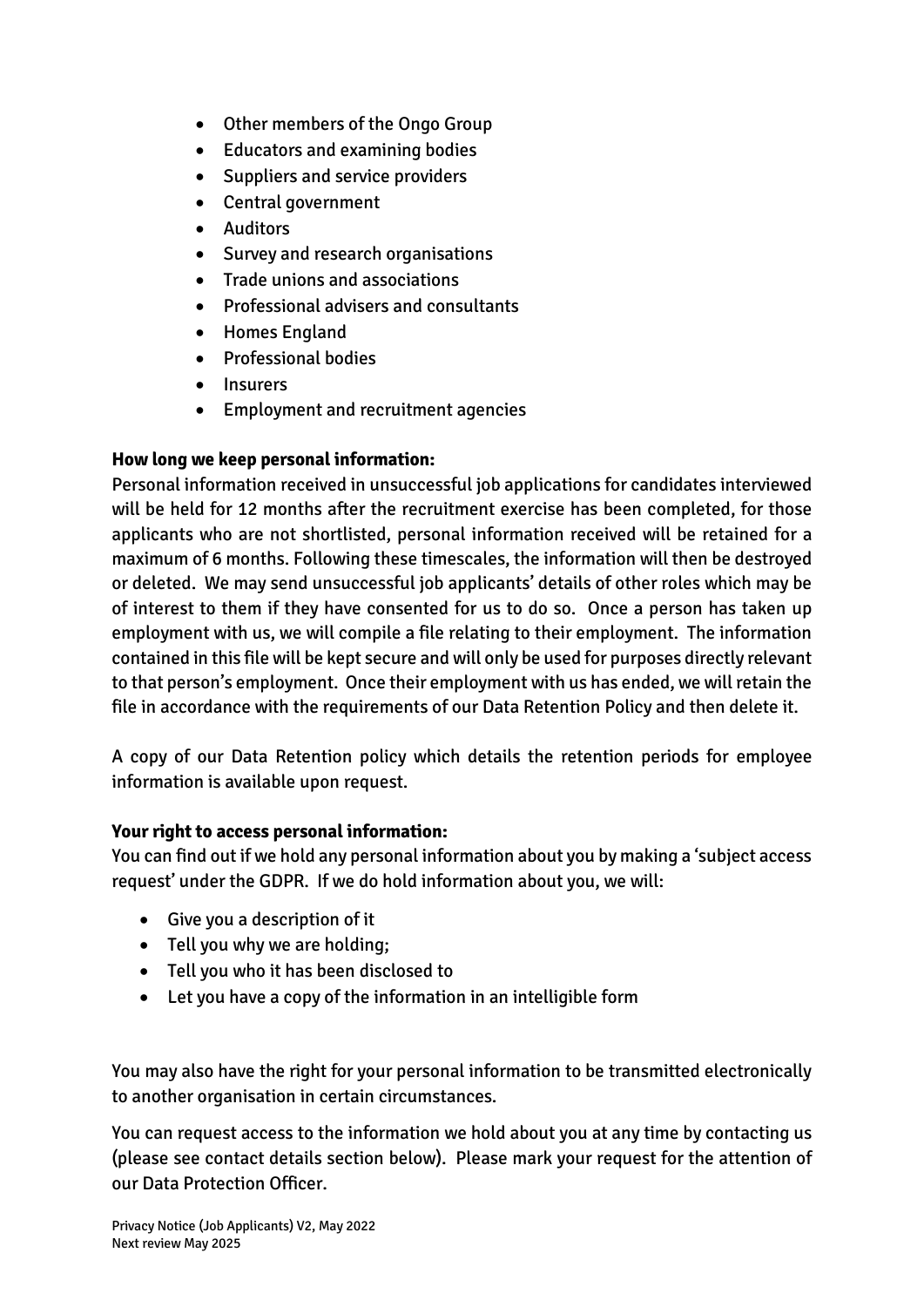- Other members of the Ongo Group
- Educators and examining bodies
- Suppliers and service providers
- Central government
- Auditors
- Survey and research organisations
- Trade unions and associations
- Professional advisers and consultants
- Homes England
- Professional bodies
- Insurers
- Employment and recruitment agencies

## **How long we keep personal information:**

Personal information received in unsuccessful job applications for candidates interviewed will be held for 12 months after the recruitment exercise has been completed, for those applicants who are not shortlisted, personal information received will be retained for a maximum of 6 months. Following these timescales, the information will then be destroyed or deleted. We may send unsuccessful job applicants' details of other roles which may be of interest to them if they have consented for us to do so. Once a person has taken up employment with us, we will compile a file relating to their employment. The information contained in this file will be kept secure and will only be used for purposes directly relevant to that person's employment. Once their employment with us has ended, we will retain the file in accordance with the requirements of our Data Retention Policy and then delete it.

A copy of our Data Retention policy which details the retention periods for employee information is available upon request.

#### **Your right to access personal information:**

You can find out if we hold any personal information about you by making a 'subject access request' under the GDPR. If we do hold information about you, we will:

- Give you a description of it
- Tell you why we are holding;
- Tell you who it has been disclosed to
- Let you have a copy of the information in an intelligible form

You may also have the right for your personal information to be transmitted electronically to another organisation in certain circumstances.

You can request access to the information we hold about you at any time by contacting us (please see contact details section below). Please mark your request for the attention of our Data Protection Officer.